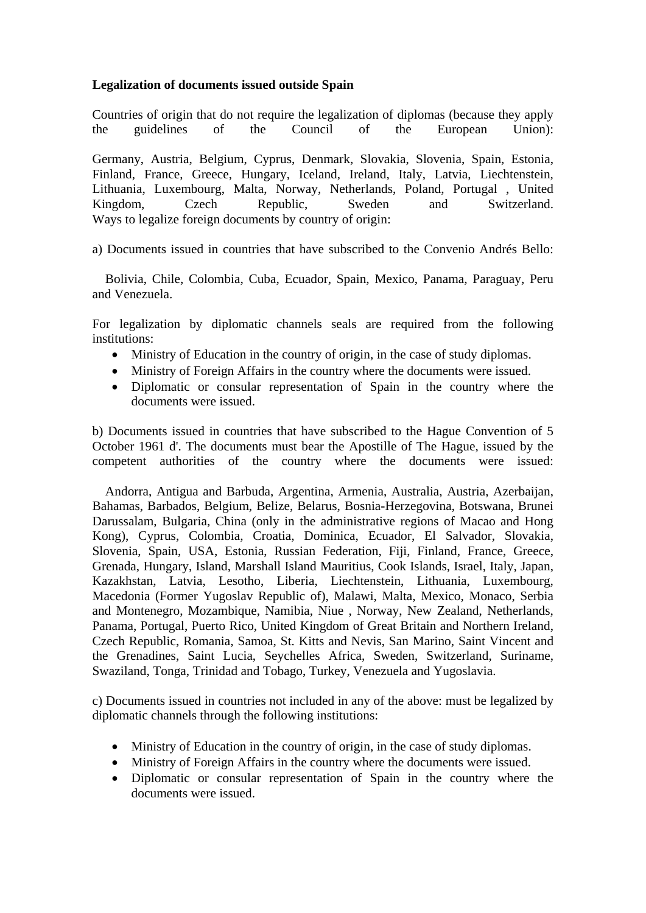## **Legalization of documents issued outside Spain**

Countries of origin that do not require the legalization of diplomas (because they apply the guidelines of the Council of the European Union):

Germany, Austria, Belgium, Cyprus, Denmark, Slovakia, Slovenia, Spain, Estonia, Finland, France, Greece, Hungary, Iceland, Ireland, Italy, Latvia, Liechtenstein, Lithuania, Luxembourg, Malta, Norway, Netherlands, Poland, Portugal , United Kingdom, Czech Republic, Sweden and Switzerland. Ways to legalize foreign documents by country of origin:

a) Documents issued in countries that have subscribed to the Convenio Andrés Bello:

 Bolivia, Chile, Colombia, Cuba, Ecuador, Spain, Mexico, Panama, Paraguay, Peru and Venezuela.

For legalization by diplomatic channels seals are required from the following institutions:

- Ministry of Education in the country of origin, in the case of study diplomas.
- Ministry of Foreign Affairs in the country where the documents were issued.
- Diplomatic or consular representation of Spain in the country where the documents were issued.

b) Documents issued in countries that have subscribed to the Hague Convention of 5 October 1961 d'. The documents must bear the Apostille of The Hague, issued by the competent authorities of the country where the documents were issued:

 Andorra, Antigua and Barbuda, Argentina, Armenia, Australia, Austria, Azerbaijan, Bahamas, Barbados, Belgium, Belize, Belarus, Bosnia-Herzegovina, Botswana, Brunei Darussalam, Bulgaria, China (only in the administrative regions of Macao and Hong Kong), Cyprus, Colombia, Croatia, Dominica, Ecuador, El Salvador, Slovakia, Slovenia, Spain, USA, Estonia, Russian Federation, Fiji, Finland, France, Greece, Grenada, Hungary, Island, Marshall Island Mauritius, Cook Islands, Israel, Italy, Japan, Kazakhstan, Latvia, Lesotho, Liberia, Liechtenstein, Lithuania, Luxembourg, Macedonia (Former Yugoslav Republic of), Malawi, Malta, Mexico, Monaco, Serbia and Montenegro, Mozambique, Namibia, Niue , Norway, New Zealand, Netherlands, Panama, Portugal, Puerto Rico, United Kingdom of Great Britain and Northern Ireland, Czech Republic, Romania, Samoa, St. Kitts and Nevis, San Marino, Saint Vincent and the Grenadines, Saint Lucia, Seychelles Africa, Sweden, Switzerland, Suriname, Swaziland, Tonga, Trinidad and Tobago, Turkey, Venezuela and Yugoslavia.

c) Documents issued in countries not included in any of the above: must be legalized by diplomatic channels through the following institutions:

- Ministry of Education in the country of origin, in the case of study diplomas.
- Ministry of Foreign Affairs in the country where the documents were issued.
- Diplomatic or consular representation of Spain in the country where the documents were issued.